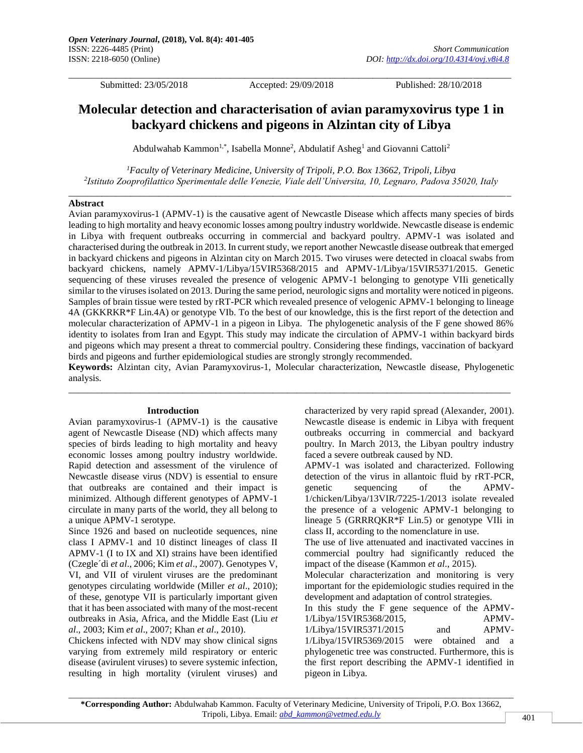\_\_\_\_\_\_\_\_\_\_\_\_\_\_\_\_\_\_\_\_\_\_\_\_\_\_\_\_\_\_\_\_\_\_\_\_\_\_\_\_\_\_\_\_\_\_\_\_\_\_\_\_\_\_\_\_\_\_\_\_\_\_\_\_\_\_\_\_\_\_\_\_\_\_\_\_\_\_\_\_\_\_\_\_\_\_\_\_\_\_\_\_\_

Submitted: 23/05/2018 Accepted: 29/09/2018 Published: 28/10/2018

# **Molecular detection and characterisation of avian paramyxovirus type 1 in backyard chickens and pigeons in Alzintan city of Libya**

Abdulwahab Kammon<sup>1,\*</sup>, Isabella Monne<sup>2</sup>, Abdulatif Asheg<sup>1</sup> and Giovanni Cattoli<sup>2</sup>

*<sup>1</sup>Faculty of Veterinary Medicine, University of Tripoli, P.O. Box 13662, Tripoli, Libya 2 Istituto Zooprofilattico Sperimentale delle Venezie, Viale dell'Universita, 10, Legnaro, Padova 35020, Italy* \_\_\_\_\_\_\_\_\_\_\_\_\_\_\_\_\_\_\_\_\_\_\_\_\_\_\_\_\_\_\_\_\_\_\_\_\_\_\_\_\_\_\_\_\_\_\_\_\_\_\_\_\_\_\_\_\_\_\_\_\_\_\_\_\_\_\_\_\_\_\_\_\_\_\_\_\_\_\_\_\_\_\_\_\_\_\_\_\_\_\_\_\_

#### **Abstract**

Avian paramyxovirus-1 (APMV-1) is the causative agent of Newcastle Disease which affects many species of birds leading to high mortality and heavy economic losses among poultry industry worldwide. Newcastle disease is endemic in Libya with frequent outbreaks occurring in commercial and backyard poultry. APMV-1 was isolated and characterised during the outbreak in 2013. In current study, we report another Newcastle disease outbreak that emerged in backyard chickens and pigeons in Alzintan city on March 2015. Two viruses were detected in cloacal swabs from backyard chickens, namely APMV-1/Libya/15VIR5368/2015 and APMV-1/Libya/15VIR5371/2015. Genetic sequencing of these viruses revealed the presence of velogenic APMV-1 belonging to genotype VIIi genetically similar to the viruses isolated on 2013. During the same period, neurologic signs and mortality were noticed in pigeons. Samples of brain tissue were tested by rRT-PCR which revealed presence of velogenic APMV-1 belonging to lineage 4A (GKKRKR\*F Lin.4A) or genotype VIb. To the best of our knowledge, this is the first report of the detection and molecular characterization of APMV-1 in a pigeon in Libya. The phylogenetic analysis of the F gene showed 86% identity to isolates from Iran and Egypt. This study may indicate the circulation of APMV-1 within backyard birds and pigeons which may present a threat to commercial poultry. Considering these findings, vaccination of backyard birds and pigeons and further epidemiological studies are strongly strongly recommended.

**Keywords:** Alzintan city, Avian Paramyxovirus-1, Molecular characterization, Newcastle disease, Phylogenetic analysis.  $\_$  ,  $\_$  ,  $\_$  ,  $\_$  ,  $\_$  ,  $\_$  ,  $\_$  ,  $\_$  ,  $\_$  ,  $\_$  ,  $\_$  ,  $\_$  ,  $\_$  ,  $\_$  ,  $\_$  ,  $\_$  ,  $\_$  ,  $\_$  ,  $\_$  ,  $\_$  ,  $\_$  ,  $\_$  ,  $\_$  ,  $\_$  ,  $\_$  ,  $\_$  ,  $\_$  ,  $\_$  ,  $\_$  ,  $\_$  ,  $\_$  ,  $\_$  ,  $\_$  ,  $\_$  ,  $\_$  ,  $\_$  ,  $\_$  ,

#### **Introduction**

Avian paramyxovirus-1 (APMV-1) is the causative agent of Newcastle Disease (ND) which affects many species of birds leading to high mortality and heavy economic losses among poultry industry worldwide. Rapid detection and assessment of the virulence of Newcastle disease virus (NDV) is essential to ensure that outbreaks are contained and their impact is minimized. Although different genotypes of APMV-1 circulate in many parts of the world, they all belong to a unique APMV-1 serotype.

Since 1926 and based on nucleotide sequences, nine class I APMV-1 and 10 distinct lineages of class II APMV-1 (I to IX and XI) strains have been identified (Czegle´di *et al*., 2006; Kim *et al*., 2007). Genotypes V, VI, and VII of virulent viruses are the predominant genotypes circulating worldwide (Miller *et al*., 2010); of these, genotype VII is particularly important given that it has been associated with many of the most-recent outbreaks in Asia, Africa, and the Middle East (Liu *et al*., 2003; Kim *et al*., 2007; Khan *et al*., 2010).

Chickens infected with NDV may show clinical signs varying from extremely mild respiratory or enteric disease (avirulent viruses) to severe systemic infection, resulting in high mortality (virulent viruses) and

characterized by very rapid spread (Alexander, 2001). Newcastle disease is endemic in Libya with frequent outbreaks occurring in commercial and backyard poultry. In March 2013, the Libyan poultry industry faced a severe outbreak caused by ND.

APMV-1 was isolated and characterized. Following detection of the virus in allantoic fluid by rRT-PCR, genetic sequencing of the APMV-1/chicken/Libya/13VIR/7225-1/2013 isolate revealed the presence of a velogenic APMV-1 belonging to lineage 5 (GRRRQKR\*F Lin.5) or genotype VIIi in class II, according to the nomenclature in use.

The use of live attenuated and inactivated vaccines in commercial poultry had significantly reduced the impact of the disease (Kammon *et al*., 2015).

Molecular characterization and monitoring is very important for the epidemiologic studies required in the development and adaptation of control strategies.

In this study the F gene sequence of the APMV-1/Libya/15VIR5368/2015, APMV-1/Libya/15VIR5371/2015 and APMV-1/Libya/15VIR5369/2015 were obtained and a phylogenetic tree was constructed. Furthermore, this is the first report describing the APMV-1 identified in pigeon in Libya.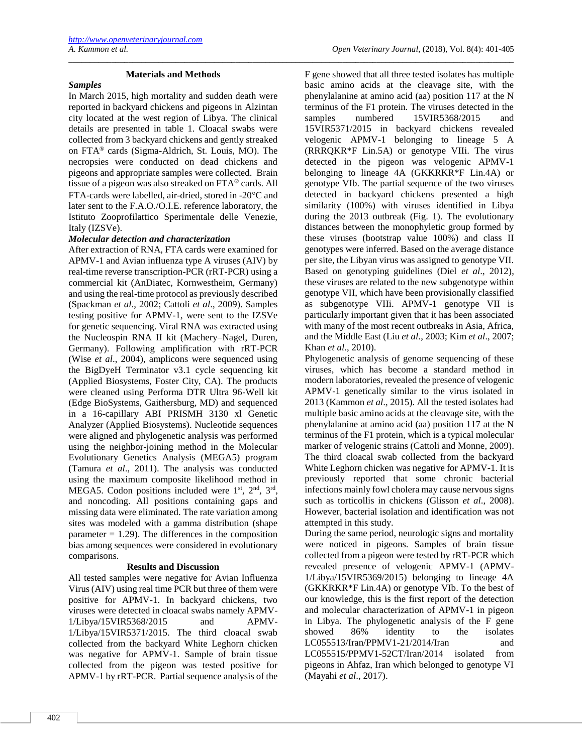### **Materials and Methods**

\_\_\_\_\_\_\_\_\_\_\_\_\_\_\_\_\_\_\_\_\_\_\_\_\_\_\_\_\_\_\_\_\_\_\_\_\_\_\_\_\_\_\_\_\_\_\_\_\_\_\_\_\_\_\_\_\_\_\_\_\_\_\_\_\_\_\_\_\_\_\_\_\_\_\_\_\_\_\_\_\_\_\_\_\_\_\_\_\_\_\_\_\_\_\_\_\_\_\_\_\_\_\_\_

#### *Samples*

In March 2015, high mortality and sudden death were reported in backyard chickens and pigeons in Alzintan city located at the west region of Libya. The clinical details are presented in table 1. Cloacal swabs were collected from 3 backyard chickens and gently streaked on FTA® cards (Sigma-Aldrich, St. Louis, MO). The necropsies were conducted on dead chickens and pigeons and appropriate samples were collected. Brain tissue of a pigeon was also streaked on FTA® cards. All FTA-cards were labelled, air-dried, stored in -20°C and later sent to the F.A.O./O.I.E. reference laboratory, the Istituto Zooprofilattico Sperimentale delle Venezie, Italy (IZSVe).

#### *Molecular detection and characterization*

After extraction of RNA, FTA cards were examined for APMV-1 and Avian influenza type A viruses (AIV) by real-time reverse transcription-PCR (rRT-PCR) using a commercial kit (AnDiatec, Kornwestheim, Germany) and using the real-time protocol as previously described (Spackman *et al*., 2002; Cattoli *et al*., 2009). Samples testing positive for APMV-1, were sent to the IZSVe for genetic sequencing. Viral RNA was extracted using the Nucleospin RNA II kit (Machery–Nagel, Duren, Germany). Following amplification with rRT-PCR (Wise *et al*., 2004), amplicons were sequenced using the BigDyeH Terminator v3.1 cycle sequencing kit (Applied Biosystems, Foster City, CA). The products were cleaned using Performa DTR Ultra 96-Well kit (Edge BioSystems, Gaithersburg, MD) and sequenced in a 16-capillary ABI PRISMH 3130 xl Genetic Analyzer (Applied Biosystems). Nucleotide sequences were aligned and phylogenetic analysis was performed using the neighbor-joining method in the Molecular Evolutionary Genetics Analysis (MEGA5) program (Tamura *et al*., 2011). The analysis was conducted using the maximum composite likelihood method in MEGA5. Codon positions included were 1<sup>st</sup>, 2<sup>nd</sup>, 3<sup>rd</sup>, and noncoding. All positions containing gaps and missing data were eliminated. The rate variation among sites was modeled with a gamma distribution (shape parameter  $= 1.29$ ). The differences in the composition bias among sequences were considered in evolutionary comparisons.

#### **Results and Discussion**

All tested samples were negative for Avian Influenza Virus (AIV) using real time PCR but three of them were positive for APMV-1. In backyard chickens, two viruses were detected in cloacal swabs namely APMV-1/Libya/15VIR5368/2015 and APMV-1/Libya/15VIR5371/2015. The third cloacal swab collected from the backyard White Leghorn chicken was negative for APMV-1. Sample of brain tissue collected from the pigeon was tested positive for APMV-1 by rRT-PCR. Partial sequence analysis of the

F gene showed that all three tested isolates has multiple basic amino acids at the cleavage site, with the phenylalanine at amino acid (aa) position 117 at the N terminus of the F1 protein. The viruses detected in the samples numbered 15VIR5368/2015 and 15VIR5371/2015 in backyard chickens revealed velogenic APMV-1 belonging to lineage 5 A (RRRQKR\*F Lin.5A) or genotype VIIi. The virus detected in the pigeon was velogenic APMV-1 belonging to lineage 4A (GKKRKR\*F Lin.4A) or genotype VIb. The partial sequence of the two viruses detected in backyard chickens presented a high similarity (100%) with viruses identified in Libya during the 2013 outbreak (Fig. 1). The evolutionary distances between the monophyletic group formed by these viruses (bootstrap value 100%) and class II genotypes were inferred. Based on the average distance per site, the Libyan virus was assigned to genotype VII. Based on genotyping guidelines (Diel *et al*., 2012), these viruses are related to the new subgenotype within genotype VII, which have been provisionally classified as subgenotype VIIi. APMV-1 genotype VII is particularly important given that it has been associated with many of the most recent outbreaks in Asia, Africa, and the Middle East (Liu *et al*., 2003; Kim *et al*., 2007; Khan *et al*., 2010).

Phylogenetic analysis of genome sequencing of these viruses, which has become a standard method in modern laboratories, revealed the presence of velogenic APMV-1 genetically similar to the virus isolated in 2013 (Kammon *et al*., 2015). All the tested isolates had multiple basic amino acids at the cleavage site, with the phenylalanine at amino acid (aa) position 117 at the N terminus of the F1 protein, which is a typical molecular marker of velogenic strains (Cattoli and Monne, 2009). The third cloacal swab collected from the backyard White Leghorn chicken was negative for APMV-1. It is previously reported that some chronic bacterial infections mainly fowl cholera may cause nervous signs such as torticollis in chickens (Glisson *et al*., 2008). However, bacterial isolation and identification was not attempted in this study.

During the same period, neurologic signs and mortality were noticed in pigeons. Samples of brain tissue collected from a pigeon were tested by rRT-PCR which revealed presence of velogenic APMV-1 (APMV-1/Libya/15VIR5369/2015) belonging to lineage 4A (GKKRKR\*F Lin.4A) or genotype VIb. To the best of our knowledge, this is the first report of the detection and molecular characterization of APMV-1 in pigeon in Libya. The phylogenetic analysis of the F gene showed 86% identity to the isolates LC055513/Iran/PPMV1-21/2014/Iran and LC055515/PPMV1-52CT/Iran/2014 isolated from pigeons in Ahfaz, Iran which belonged to genotype VI (Mayahi *et al*., 2017).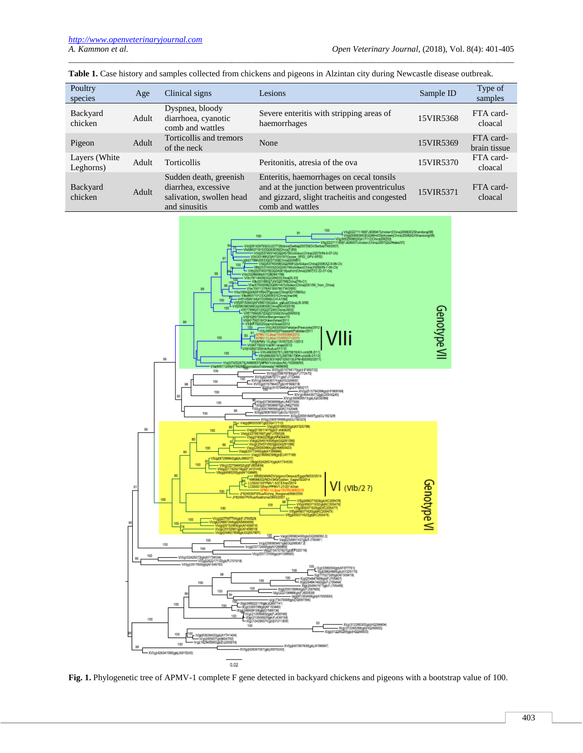| Poultry<br>species          | Age   | Clinical signs                                                                             | Lesions                                                                                                                                                    | Sample ID | Type of<br>samples        |
|-----------------------------|-------|--------------------------------------------------------------------------------------------|------------------------------------------------------------------------------------------------------------------------------------------------------------|-----------|---------------------------|
| Backyard<br>chicken         | Adult | Dyspnea, bloody<br>diarrhoea, cyanotic<br>comb and wattles                                 | Severe enteritis with stripping areas of<br>haemorrhages                                                                                                   | 15VIR5368 | FTA card-<br>cloacal      |
| Pigeon                      | Adult | Torticollis and tremors<br>of the neck                                                     | None                                                                                                                                                       | 15VIR5369 | FTA card-<br>brain tissue |
| Layers (White)<br>Leghorns) | Adult | <b>Torticollis</b>                                                                         | Peritonitis, atresia of the ova                                                                                                                            | 15VIR5370 | FTA card-<br>cloacal      |
| Backyard<br>chicken         | Adult | Sudden death, greenish<br>diarrhea, excessive<br>salivation, swollen head<br>and sinusitis | Enteritis, haemorrhages on cecal tonsils<br>and at the junction between proventriculus<br>and gizzard, slight tracheitis and congested<br>comb and wattles | 15VIR5371 | FTA card-<br>cloacal      |

**Table 1.** Case history and samples collected from chickens and pigeons in Alzintan city during Newcastle disease outbreak.

\_\_\_\_\_\_\_\_\_\_\_\_\_\_\_\_\_\_\_\_\_\_\_\_\_\_\_\_\_\_\_\_\_\_\_\_\_\_\_\_\_\_\_\_\_\_\_\_\_\_\_\_\_\_\_\_\_\_\_\_\_\_\_\_\_\_\_\_\_\_\_\_\_\_\_\_\_\_\_\_\_\_\_\_\_\_\_\_\_\_\_\_\_\_\_\_\_\_\_\_\_\_\_\_



Fig. 1. Phylogenetic tree of APMV-1 complete F gene detected in backyard chickens and pigeons with a bootstrap value of 100.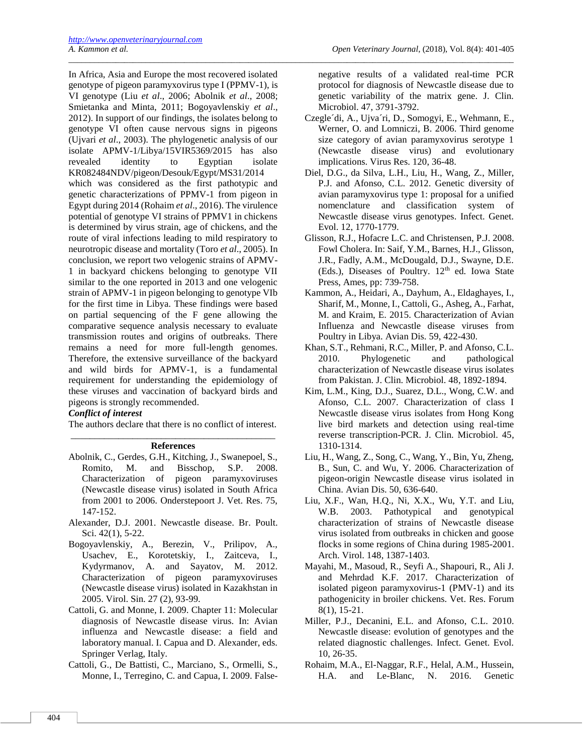In Africa, Asia and Europe the most recovered isolated genotype of pigeon paramyxovirus type I (PPMV-1), is VI genotype (Liu *et al*., 2006; Abolnik *et al*., 2008; Smietanka and Minta, 2011; Bogoyavlenskiy *et al*., 2012). In support of our findings, the isolates belong to genotype VI often cause nervous signs in pigeons (Ujvari *et al*., 2003). The phylogenetic analysis of our isolate APMV-1/Libya/15VIR5369/2015 has also revealed identity to Egyptian isolate KR082484NDV/pigeon/Desouk/Egypt/MS31/2014 which was considered as the first pathotypic and genetic characterizations of PPMV-1 from pigeon in Egypt during 2014 (Rohaim *et al*., 2016). The virulence potential of genotype VI strains of PPMV1 in chickens is determined by virus strain, age of chickens, and the route of viral infections leading to mild respiratory to neurotropic disease and mortality (Toro *et al*., 2005). In conclusion, we report two velogenic strains of APMV-1 in backyard chickens belonging to genotype VII similar to the one reported in 2013 and one velogenic strain of APMV-1 in pigeon belonging to genotype VIb for the first time in Libya. These findings were based on partial sequencing of the F gene allowing the comparative sequence analysis necessary to evaluate transmission routes and origins of outbreaks. There remains a need for more full-length genomes. Therefore, the extensive surveillance of the backyard and wild birds for APMV-1, is a fundamental requirement for understanding the epidemiology of these viruses and vaccination of backyard birds and pigeons is strongly recommended.

## *Conflict of interest*

The authors declare that there is no conflict of interest.

#### \_\_\_\_\_\_\_\_\_\_\_\_\_\_\_\_\_\_\_\_\_\_\_\_\_\_\_\_\_\_\_\_\_\_\_\_\_\_\_\_\_\_\_ **References**

- Abolnik, C., Gerdes, G.H., Kitching, J., Swanepoel, S., Romito, M. and Bisschop, S.P. 2008. Characterization of pigeon paramyxoviruses (Newcastle disease virus) isolated in South Africa from 2001 to 2006. Onderstepoort J. Vet. Res. 75, 147-152.
- Alexander, D.J. 2001. Newcastle disease. Br. Poult. Sci. 42(1), 5-22.
- Bogoyavlenskiy, A., Berezin, V., Prilipov, A., Usachev, E., Korotetskiy, I., Zaitceva, I., Kydyrmanov, A. and Sayatov, M. 2012. Characterization of pigeon paramyxoviruses (Newcastle disease virus) isolated in Kazakhstan in 2005. Virol. Sin. 27 (2), 93-99.
- Cattoli, G. and Monne, I. 2009. Chapter 11: Molecular diagnosis of Newcastle disease virus. In: Avian influenza and Newcastle disease: a field and laboratory manual. I. Capua and D. Alexander, eds. Springer Verlag, Italy.
- Cattoli, G., De Battisti, C., Marciano, S., Ormelli, S., Monne, I., Terregino, C. and Capua, I. 2009. False-

negative results of a validated real-time PCR protocol for diagnosis of Newcastle disease due to genetic variability of the matrix gene. J. Clin. Microbiol. 47, 3791-3792.

\_\_\_\_\_\_\_\_\_\_\_\_\_\_\_\_\_\_\_\_\_\_\_\_\_\_\_\_\_\_\_\_\_\_\_\_\_\_\_\_\_\_\_\_\_\_\_\_\_\_\_\_\_\_\_\_\_\_\_\_\_\_\_\_\_\_\_\_\_\_\_\_\_\_\_\_\_\_\_\_\_\_\_\_\_\_\_\_\_\_\_\_\_\_\_\_\_\_\_\_\_\_\_\_

- Czegle´di, A., Ujva´ri, D., Somogyi, E., Wehmann, E., Werner, O. and Lomniczi, B. 2006. Third genome size category of avian paramyxovirus serotype 1 (Newcastle disease virus) and evolutionary implications. Virus Res. 120, 36-48.
- Diel, D.G., da Silva, L.H., Liu, H., Wang, Z., Miller, P.J. and Afonso, C.L. 2012. Genetic diversity of avian paramyxovirus type 1: proposal for a unified nomenclature and classification system of Newcastle disease virus genotypes. Infect. Genet. Evol. 12, 1770-1779.
- Glisson, R.J., Hofacre L.C. and Christensen, P.J. 2008. Fowl Cholera. In: Saif, Y.M., Barnes, H.J., Glisson, J.R., Fadly, A.M., McDougald, D.J., Swayne, D.E. (Eds.), Diseases of Poultry. 12<sup>th</sup> ed. Iowa State Press, Ames, pp: 739-758.
- Kammon, A., Heidari, A., Dayhum, A., Eldaghayes, I., Sharif, M., Monne, I., Cattoli, G., Asheg, A., Farhat, M. and Kraim, E. 2015. Characterization of Avian Influenza and Newcastle disease viruses from Poultry in Libya. Avian Dis. 59, 422-430.
- Khan, S.T., Rehmani, R.C., Miller, P. and Afonso, C.L. 2010. Phylogenetic and pathological characterization of Newcastle disease virus isolates from Pakistan. J. Clin. Microbiol. 48, 1892-1894.
- Kim, L.M., King, D.J., Suarez, D.L., Wong, C.W. and Afonso, C.L. 2007. Characterization of class I Newcastle disease virus isolates from Hong Kong live bird markets and detection using real-time reverse transcription-PCR. J. Clin. Microbiol. 45, 1310-1314.
- Liu, H., Wang, Z., Song, C., Wang, Y., Bin, Yu, Zheng, B., Sun, C. and Wu, Y. 2006. Characterization of pigeon-origin Newcastle disease virus isolated in China. Avian Dis. 50, 636-640.
- Liu, X.F., Wan, H.Q., Ni, X.X., Wu, Y.T. and Liu, W.B. 2003. Pathotypical and genotypical characterization of strains of Newcastle disease virus isolated from outbreaks in chicken and goose flocks in some regions of China during 1985-2001. Arch. Virol. 148, 1387-1403.
- Mayahi, M., Masoud, R., Seyfi A., Shapouri, R., Ali J. and Mehrdad K.F. 2017. Characterization of isolated pigeon paramyxovirus-1 (PMV-1) and its pathogenicity in broiler chickens. Vet. Res. Forum 8(1), 15-21.
- Miller, P.J., Decanini, E.L. and Afonso, C.L. 2010. Newcastle disease: evolution of genotypes and the related diagnostic challenges. Infect. Genet. Evol. 10, 26-35.
- Rohaim, M.A., El-Naggar, R.F., Helal, A.M., Hussein, H.A. and Le-Blanc, N. 2016. Genetic